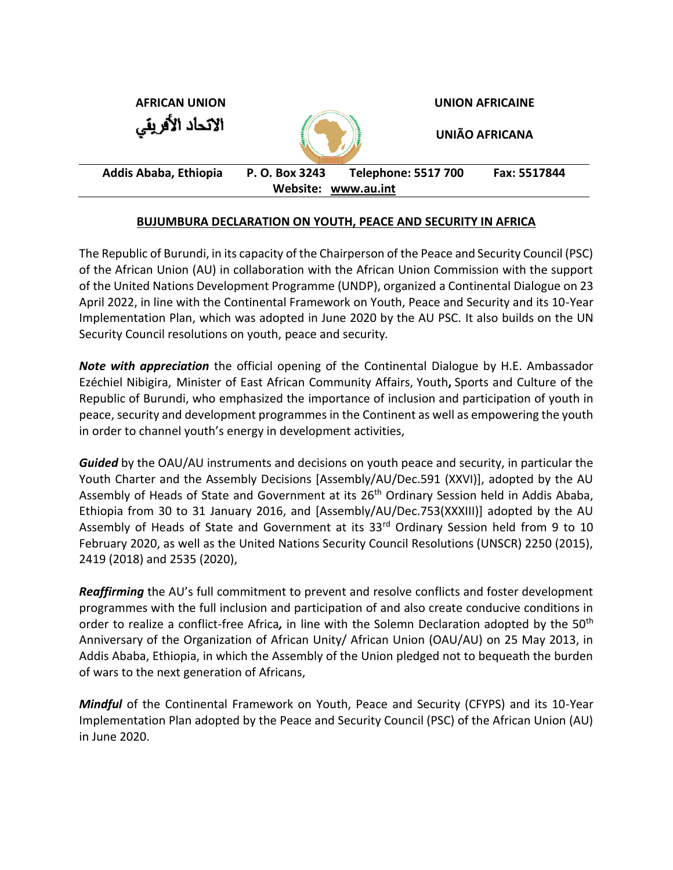| <b>AFRICAN UNION</b>  |                | <b>UNION AFRICAINE</b>     |                       |
|-----------------------|----------------|----------------------------|-----------------------|
| الاتحاد الأفريقي      |                |                            | <b>UNIÃO AFRICANA</b> |
| Addis Ababa, Ethiopia | P. O. Box 3243 | <b>Telephone: 5517 700</b> | Fax: 5517844          |
| Website: www.au.int   |                |                            |                       |

### **BUJUMBURA DECLARATION ON YOUTH, PEACE AND SECURITY IN AFRICA**

The Republic of Burundi, in its capacity of the Chairperson of the Peace and Security Council (PSC) of the African Union (AU) in collaboration with the African Union Commission with the support of the United Nations Development Programme (UNDP), organized a Continental Dialogue on 23 April 2022, in line with the Continental Framework on Youth, Peace and Security and its 10-Year Implementation Plan, which was adopted in June 2020 by the AU PSC. It also builds on the UN Security Council resolutions on youth, peace and security*.*

*Note with appreciation* the official opening of the Continental Dialogue by H.E. Ambassador Ezéchiel Nibigira, Minister of East African Community Affairs, Youth**,** Sports and Culture of the Republic of Burundi, who emphasized the importance of inclusion and participation of youth in peace, security and development programmes in the Continent as well as empowering the youth in order to channel youth's energy in development activities,

*Guided* by the OAU/AU instruments and decisions on youth peace and security, in particular the Youth Charter and the Assembly Decisions [Assembly/AU/Dec.591 (XXVI)], adopted by the AU Assembly of Heads of State and Government at its 26<sup>th</sup> Ordinary Session held in Addis Ababa, Ethiopia from 30 to 31 January 2016, and [Assembly/AU/Dec.753(XXXIII)] adopted by the AU Assembly of Heads of State and Government at its 33<sup>rd</sup> Ordinary Session held from 9 to 10 February 2020, as well as the United Nations Security Council Resolutions (UNSCR) 2250 (2015), 2419 (2018) and 2535 (2020),

*Reaffirming* the AU's full commitment to prevent and resolve conflicts and foster development programmes with the full inclusion and participation of and also create conducive conditions in order to realize a conflict-free Africa*,* in line with the Solemn Declaration adopted by the 50th Anniversary of the Organization of African Unity/ African Union (OAU/AU) on 25 May 2013, in Addis Ababa, Ethiopia, in which the Assembly of the Union pledged not to bequeath the burden of wars to the next generation of Africans,

*Mindful* of the Continental Framework on Youth, Peace and Security (CFYPS) and its 10-Year Implementation Plan adopted by the Peace and Security Council (PSC) of the African Union (AU) in June 2020.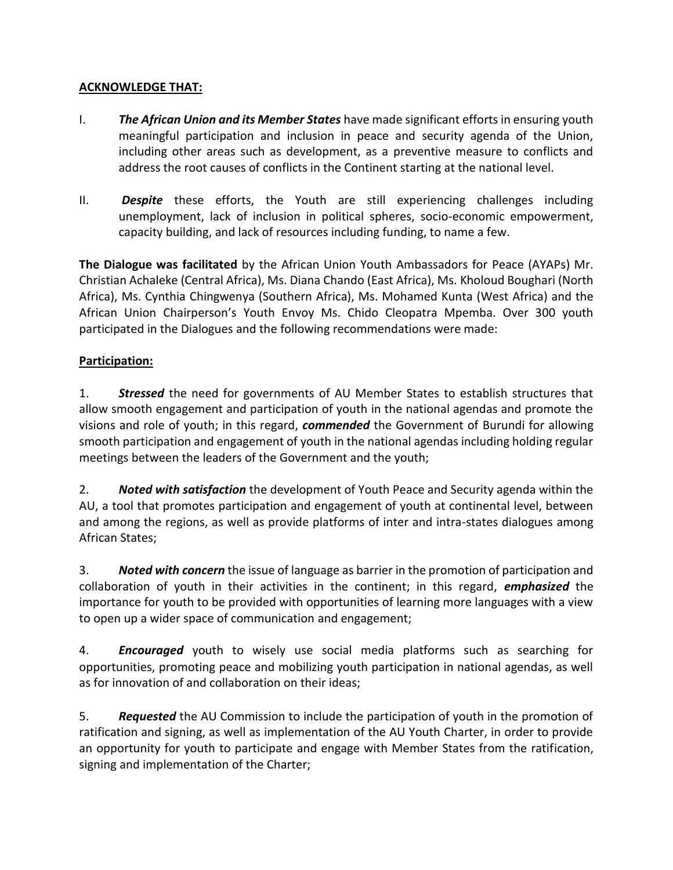### **ACKNOWLEDGE THAT:**

- I. *The African Union and its Member States* have made significant efforts in ensuring youth meaningful participation and inclusion in peace and security agenda of the Union, including other areas such as development, as a preventive measure to conflicts and address the root causes of conflicts in the Continent starting at the national level.
- II. *Despite* these efforts, the Youth are still experiencing challenges including unemployment, lack of inclusion in political spheres, socio-economic empowerment, capacity building, and lack of resources including funding, to name a few.

**The Dialogue was facilitated** by the African Union Youth Ambassadors for Peace (AYAPs) Mr. Christian Achaleke (Central Africa), Ms. Diana Chando (East Africa), Ms. Kholoud Boughari (North Africa), Ms. Cynthia Chingwenya (Southern Africa), Ms. Mohamed Kunta (West Africa) and the African Union Chairperson's Youth Envoy Ms. Chido Cleopatra Mpemba. Over 300 youth participated in the Dialogues and the following recommendations were made:

## **Participation:**

1. *Stressed* the need for governments of AU Member States to establish structures that allow smooth engagement and participation of youth in the national agendas and promote the visions and role of youth; in this regard, *commended* the Government of Burundi for allowing smooth participation and engagement of youth in the national agendas including holding regular meetings between the leaders of the Government and the youth;

2. *Noted with satisfaction* the development of Youth Peace and Security agenda within the AU, a tool that promotes participation and engagement of youth at continental level, between and among the regions, as well as provide platforms of inter and intra-states dialogues among African States;

3. *Noted with concern* the issue of language as barrier in the promotion of participation and collaboration of youth in their activities in the continent; in this regard, *emphasized* the importance for youth to be provided with opportunities of learning more languages with a view to open up a wider space of communication and engagement;

4. *Encouraged* youth to wisely use social media platforms such as searching for opportunities, promoting peace and mobilizing youth participation in national agendas, as well as for innovation of and collaboration on their ideas;

5. *Requested* the AU Commission to include the participation of youth in the promotion of ratification and signing, as well as implementation of the AU Youth Charter, in order to provide an opportunity for youth to participate and engage with Member States from the ratification, signing and implementation of the Charter;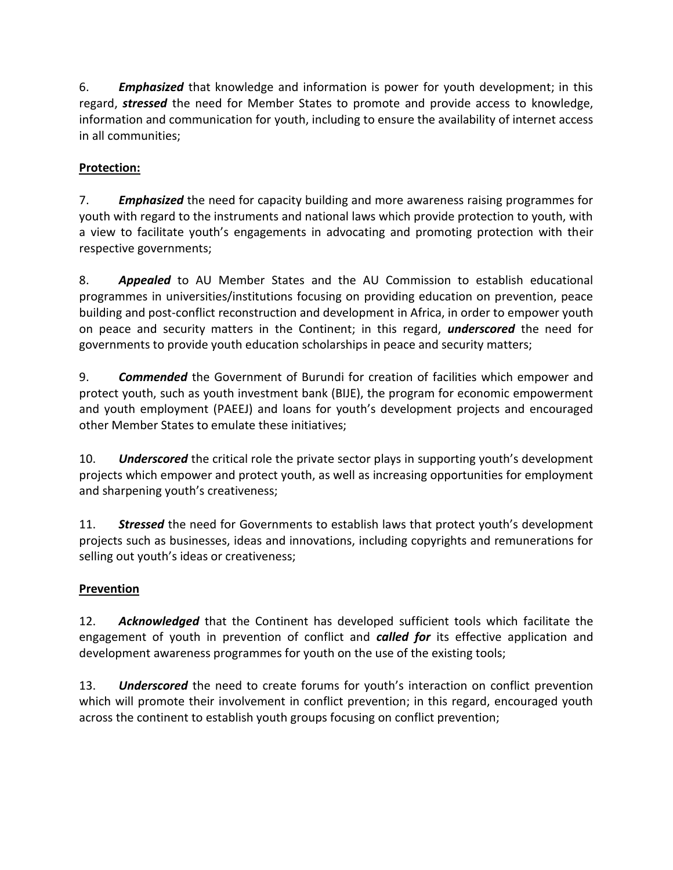6. *Emphasized* that knowledge and information is power for youth development; in this regard, *stressed* the need for Member States to promote and provide access to knowledge, information and communication for youth, including to ensure the availability of internet access in all communities;

# **Protection:**

7. *Emphasized* the need for capacity building and more awareness raising programmes for youth with regard to the instruments and national laws which provide protection to youth, with a view to facilitate youth's engagements in advocating and promoting protection with their respective governments;

8. *Appealed* to AU Member States and the AU Commission to establish educational programmes in universities/institutions focusing on providing education on prevention, peace building and post-conflict reconstruction and development in Africa, in order to empower youth on peace and security matters in the Continent; in this regard, *underscored* the need for governments to provide youth education scholarships in peace and security matters;

9. *Commended* the Government of Burundi for creation of facilities which empower and protect youth, such as youth investment bank (BIJE), the program for economic empowerment and youth employment (PAEEJ) and loans for youth's development projects and encouraged other Member States to emulate these initiatives;

10. *Underscored* the critical role the private sector plays in supporting youth's development projects which empower and protect youth, as well as increasing opportunities for employment and sharpening youth's creativeness;

11. *Stressed* the need for Governments to establish laws that protect youth's development projects such as businesses, ideas and innovations, including copyrights and remunerations for selling out youth's ideas or creativeness;

# **Prevention**

12. *Acknowledged* that the Continent has developed sufficient tools which facilitate the engagement of youth in prevention of conflict and *called for* its effective application and development awareness programmes for youth on the use of the existing tools;

13. *Underscored* the need to create forums for youth's interaction on conflict prevention which will promote their involvement in conflict prevention; in this regard, encouraged youth across the continent to establish youth groups focusing on conflict prevention;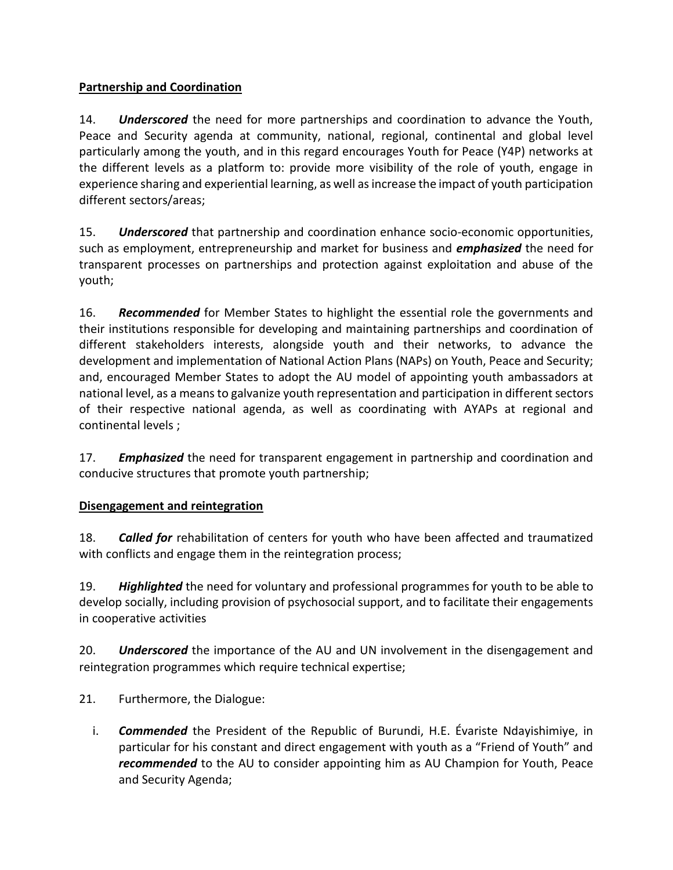## **Partnership and Coordination**

14. *Underscored* the need for more partnerships and coordination to advance the Youth, Peace and Security agenda at community, national, regional, continental and global level particularly among the youth, and in this regard encourages Youth for Peace (Y4P) networks at the different levels as a platform to: provide more visibility of the role of youth, engage in experience sharing and experiential learning, as well as increase the impact of youth participation different sectors/areas;

15. *Underscored* that partnership and coordination enhance socio-economic opportunities, such as employment, entrepreneurship and market for business and *emphasized* the need for transparent processes on partnerships and protection against exploitation and abuse of the youth;

16. *Recommended* for Member States to highlight the essential role the governments and their institutions responsible for developing and maintaining partnerships and coordination of different stakeholders interests, alongside youth and their networks, to advance the development and implementation of National Action Plans (NAPs) on Youth, Peace and Security; and, encouraged Member States to adopt the AU model of appointing youth ambassadors at national level, as a means to galvanize youth representation and participation in different sectors of their respective national agenda, as well as coordinating with AYAPs at regional and continental levels ;

17. *Emphasized* the need for transparent engagement in partnership and coordination and conducive structures that promote youth partnership;

# **Disengagement and reintegration**

18. *Called for* rehabilitation of centers for youth who have been affected and traumatized with conflicts and engage them in the reintegration process;

19. *Highlighted* the need for voluntary and professional programmes for youth to be able to develop socially, including provision of psychosocial support, and to facilitate their engagements in cooperative activities

20. *Underscored* the importance of the AU and UN involvement in the disengagement and reintegration programmes which require technical expertise;

21. Furthermore, the Dialogue:

i. *Commended* the President of the Republic of Burundi, H.E. Évariste Ndayishimiye, in particular for his constant and direct engagement with youth as a "Friend of Youth" and *recommended* to the AU to consider appointing him as AU Champion for Youth, Peace and Security Agenda;